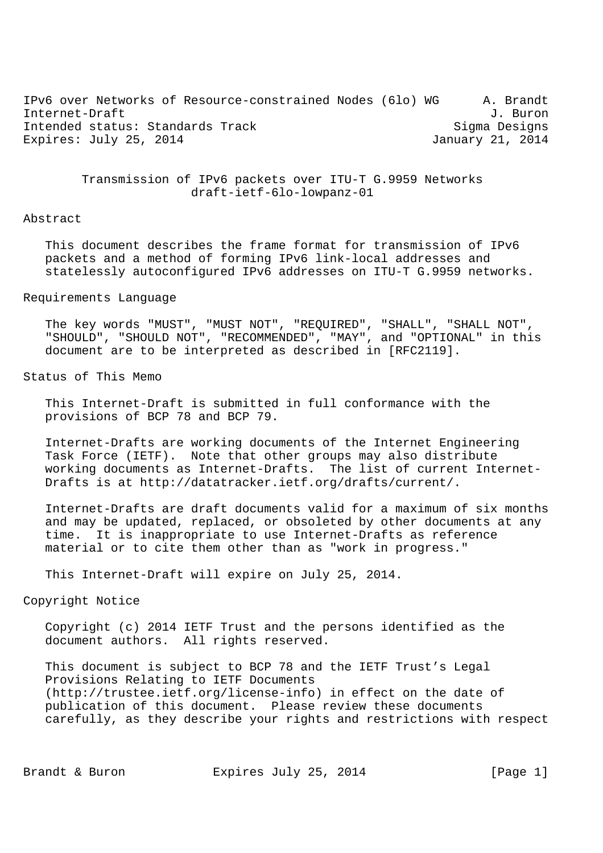IPv6 over Networks of Resource-constrained Nodes (6lo) WG A. Brandt Internet-Draft J. Buron Intended status: Standards Track Sigma Designs Expires: July 25, 2014 **January 21, 2014** 

> Transmission of IPv6 packets over ITU-T G.9959 Networks draft-ietf-6lo-lowpanz-01

#### Abstract

 This document describes the frame format for transmission of IPv6 packets and a method of forming IPv6 link-local addresses and statelessly autoconfigured IPv6 addresses on ITU-T G.9959 networks.

#### Requirements Language

 The key words "MUST", "MUST NOT", "REQUIRED", "SHALL", "SHALL NOT", "SHOULD", "SHOULD NOT", "RECOMMENDED", "MAY", and "OPTIONAL" in this document are to be interpreted as described in [RFC2119].

## Status of This Memo

 This Internet-Draft is submitted in full conformance with the provisions of BCP 78 and BCP 79.

 Internet-Drafts are working documents of the Internet Engineering Task Force (IETF). Note that other groups may also distribute working documents as Internet-Drafts. The list of current Internet- Drafts is at http://datatracker.ietf.org/drafts/current/.

 Internet-Drafts are draft documents valid for a maximum of six months and may be updated, replaced, or obsoleted by other documents at any time. It is inappropriate to use Internet-Drafts as reference material or to cite them other than as "work in progress."

This Internet-Draft will expire on July 25, 2014.

## Copyright Notice

 Copyright (c) 2014 IETF Trust and the persons identified as the document authors. All rights reserved.

 This document is subject to BCP 78 and the IETF Trust's Legal Provisions Relating to IETF Documents (http://trustee.ietf.org/license-info) in effect on the date of publication of this document. Please review these documents carefully, as they describe your rights and restrictions with respect

Brandt & Buron **Expires July 25, 2014** [Page 1]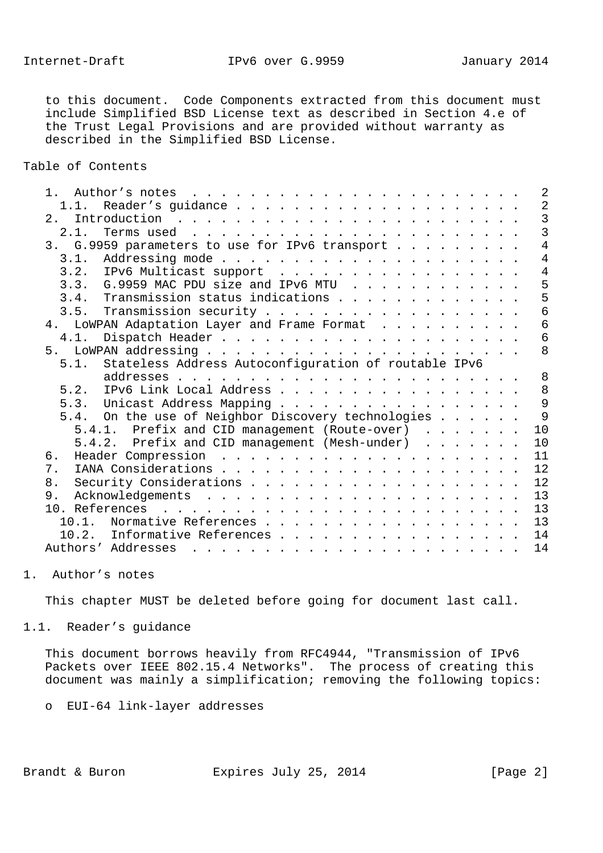to this document. Code Components extracted from this document must include Simplified BSD License text as described in Section 4.e of the Trust Legal Provisions and are provided without warranty as described in the Simplified BSD License.

Table of Contents

|                                                                                                                                                                                                                                                      | $\overline{2}$ |
|------------------------------------------------------------------------------------------------------------------------------------------------------------------------------------------------------------------------------------------------------|----------------|
| 1.1.                                                                                                                                                                                                                                                 | $\overline{2}$ |
| 2.                                                                                                                                                                                                                                                   | $\overline{3}$ |
| 2.1.                                                                                                                                                                                                                                                 | $\overline{3}$ |
| 3. G.9959 parameters to use for IPv6 transport                                                                                                                                                                                                       | $\overline{4}$ |
| 3.1.                                                                                                                                                                                                                                                 | $\overline{4}$ |
| 3.2. IPv6 Multicast support                                                                                                                                                                                                                          | $\overline{4}$ |
| 3.3. G.9959 MAC PDU size and IPv6 MTU                                                                                                                                                                                                                | 5              |
| 3.4. Transmission status indications                                                                                                                                                                                                                 | 5              |
| 3.5. Transmission security                                                                                                                                                                                                                           | 6              |
| 4. LOWPAN Adaptation Layer and Frame Format                                                                                                                                                                                                          | $\epsilon$     |
| 4.1.                                                                                                                                                                                                                                                 | 6              |
|                                                                                                                                                                                                                                                      | 8              |
| Stateless Address Autoconfiguration of routable IPv6<br>5.1.                                                                                                                                                                                         |                |
|                                                                                                                                                                                                                                                      | 8              |
| IPv6 Link Local Address<br>5.2.                                                                                                                                                                                                                      | 8              |
| 5.3. Unicast Address Mapping                                                                                                                                                                                                                         | 9              |
| 5.4. On the use of Neighbor Discovery technologies                                                                                                                                                                                                   | 9              |
| 5.4.1. Prefix and CID management (Route-over)                                                                                                                                                                                                        | 10             |
| 5.4.2. Prefix and CID management (Mesh-under)                                                                                                                                                                                                        | 10             |
| б.                                                                                                                                                                                                                                                   | 11             |
| 7.                                                                                                                                                                                                                                                   | 12             |
| 8.                                                                                                                                                                                                                                                   | 12             |
| 9.                                                                                                                                                                                                                                                   | 13             |
|                                                                                                                                                                                                                                                      | 13             |
| Normative References<br>10.1.                                                                                                                                                                                                                        | 13             |
| Informative References<br>10.2.                                                                                                                                                                                                                      | 14             |
| Authors' Addresses<br>and the company of the company of the company of the company of the company of the company of the company of the company of the company of the company of the company of the company of the company of the company of the comp | 14             |
|                                                                                                                                                                                                                                                      |                |

#### 1. Author's notes

This chapter MUST be deleted before going for document last call.

1.1. Reader's guidance

 This document borrows heavily from RFC4944, "Transmission of IPv6 Packets over IEEE 802.15.4 Networks". The process of creating this document was mainly a simplification; removing the following topics:

o EUI-64 link-layer addresses

Brandt & Buron Expires July 25, 2014 [Page 2]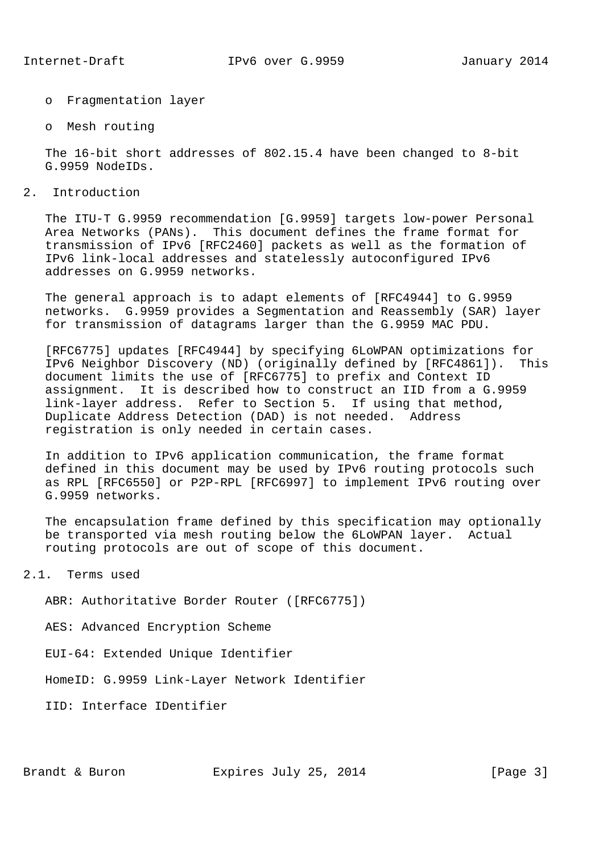- o Fragmentation layer
- o Mesh routing

 The 16-bit short addresses of 802.15.4 have been changed to 8-bit G.9959 NodeIDs.

2. Introduction

 The ITU-T G.9959 recommendation [G.9959] targets low-power Personal Area Networks (PANs). This document defines the frame format for transmission of IPv6 [RFC2460] packets as well as the formation of IPv6 link-local addresses and statelessly autoconfigured IPv6 addresses on G.9959 networks.

 The general approach is to adapt elements of [RFC4944] to G.9959 networks. G.9959 provides a Segmentation and Reassembly (SAR) layer for transmission of datagrams larger than the G.9959 MAC PDU.

 [RFC6775] updates [RFC4944] by specifying 6LoWPAN optimizations for IPv6 Neighbor Discovery (ND) (originally defined by [RFC4861]). This document limits the use of [RFC6775] to prefix and Context ID assignment. It is described how to construct an IID from a G.9959 link-layer address. Refer to Section 5. If using that method, Duplicate Address Detection (DAD) is not needed. Address registration is only needed in certain cases.

 In addition to IPv6 application communication, the frame format defined in this document may be used by IPv6 routing protocols such as RPL [RFC6550] or P2P-RPL [RFC6997] to implement IPv6 routing over G.9959 networks.

 The encapsulation frame defined by this specification may optionally be transported via mesh routing below the 6LoWPAN layer. Actual routing protocols are out of scope of this document.

2.1. Terms used

ABR: Authoritative Border Router ([RFC6775])

AES: Advanced Encryption Scheme

EUI-64: Extended Unique Identifier

HomeID: G.9959 Link-Layer Network Identifier

IID: Interface IDentifier

Brandt & Buron Expires July 25, 2014 [Page 3]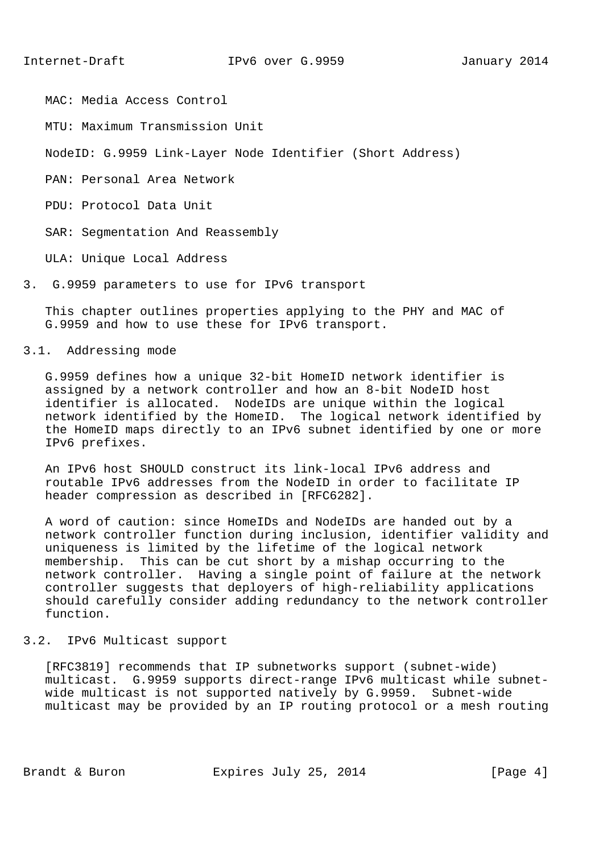MAC: Media Access Control

MTU: Maximum Transmission Unit

NodeID: G.9959 Link-Layer Node Identifier (Short Address)

PAN: Personal Area Network

PDU: Protocol Data Unit

SAR: Segmentation And Reassembly

ULA: Unique Local Address

3. G.9959 parameters to use for IPv6 transport

 This chapter outlines properties applying to the PHY and MAC of G.9959 and how to use these for IPv6 transport.

### 3.1. Addressing mode

 G.9959 defines how a unique 32-bit HomeID network identifier is assigned by a network controller and how an 8-bit NodeID host identifier is allocated. NodeIDs are unique within the logical network identified by the HomeID. The logical network identified by the HomeID maps directly to an IPv6 subnet identified by one or more IPv6 prefixes.

 An IPv6 host SHOULD construct its link-local IPv6 address and routable IPv6 addresses from the NodeID in order to facilitate IP header compression as described in [RFC6282].

 A word of caution: since HomeIDs and NodeIDs are handed out by a network controller function during inclusion, identifier validity and uniqueness is limited by the lifetime of the logical network membership. This can be cut short by a mishap occurring to the network controller. Having a single point of failure at the network controller suggests that deployers of high-reliability applications should carefully consider adding redundancy to the network controller function.

### 3.2. IPv6 Multicast support

 [RFC3819] recommends that IP subnetworks support (subnet-wide) multicast. G.9959 supports direct-range IPv6 multicast while subnet wide multicast is not supported natively by G.9959. Subnet-wide multicast may be provided by an IP routing protocol or a mesh routing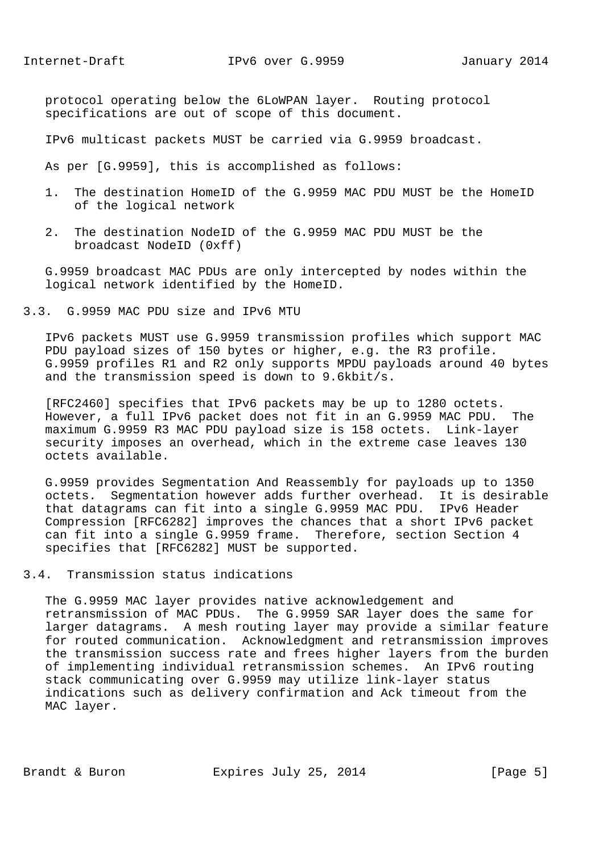protocol operating below the 6LoWPAN layer. Routing protocol specifications are out of scope of this document.

IPv6 multicast packets MUST be carried via G.9959 broadcast.

As per [G.9959], this is accomplished as follows:

- 1. The destination HomeID of the G.9959 MAC PDU MUST be the HomeID of the logical network
- 2. The destination NodeID of the G.9959 MAC PDU MUST be the broadcast NodeID (0xff)

 G.9959 broadcast MAC PDUs are only intercepted by nodes within the logical network identified by the HomeID.

### 3.3. G.9959 MAC PDU size and IPv6 MTU

 IPv6 packets MUST use G.9959 transmission profiles which support MAC PDU payload sizes of 150 bytes or higher, e.g. the R3 profile. G.9959 profiles R1 and R2 only supports MPDU payloads around 40 bytes and the transmission speed is down to 9.6kbit/s.

 [RFC2460] specifies that IPv6 packets may be up to 1280 octets. However, a full IPv6 packet does not fit in an G.9959 MAC PDU. The maximum G.9959 R3 MAC PDU payload size is 158 octets. Link-layer security imposes an overhead, which in the extreme case leaves 130 octets available.

 G.9959 provides Segmentation And Reassembly for payloads up to 1350 octets. Segmentation however adds further overhead. It is desirable that datagrams can fit into a single G.9959 MAC PDU. IPv6 Header Compression [RFC6282] improves the chances that a short IPv6 packet can fit into a single G.9959 frame. Therefore, section Section 4 specifies that [RFC6282] MUST be supported.

#### 3.4. Transmission status indications

 The G.9959 MAC layer provides native acknowledgement and retransmission of MAC PDUs. The G.9959 SAR layer does the same for larger datagrams. A mesh routing layer may provide a similar feature for routed communication. Acknowledgment and retransmission improves the transmission success rate and frees higher layers from the burden of implementing individual retransmission schemes. An IPv6 routing stack communicating over G.9959 may utilize link-layer status indications such as delivery confirmation and Ack timeout from the MAC layer.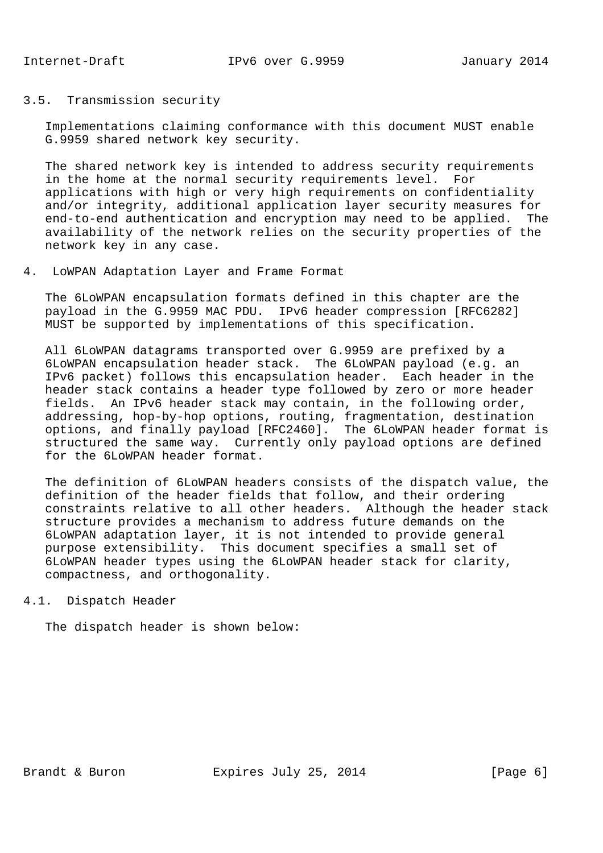# 3.5. Transmission security

 Implementations claiming conformance with this document MUST enable G.9959 shared network key security.

 The shared network key is intended to address security requirements in the home at the normal security requirements level. For applications with high or very high requirements on confidentiality and/or integrity, additional application layer security measures for end-to-end authentication and encryption may need to be applied. The availability of the network relies on the security properties of the network key in any case.

### 4. LoWPAN Adaptation Layer and Frame Format

 The 6LoWPAN encapsulation formats defined in this chapter are the payload in the G.9959 MAC PDU. IPv6 header compression [RFC6282] MUST be supported by implementations of this specification.

 All 6LoWPAN datagrams transported over G.9959 are prefixed by a 6LoWPAN encapsulation header stack. The 6LoWPAN payload (e.g. an IPv6 packet) follows this encapsulation header. Each header in the header stack contains a header type followed by zero or more header fields. An IPv6 header stack may contain, in the following order, addressing, hop-by-hop options, routing, fragmentation, destination options, and finally payload [RFC2460]. The 6LoWPAN header format is structured the same way. Currently only payload options are defined for the 6LoWPAN header format.

 The definition of 6LoWPAN headers consists of the dispatch value, the definition of the header fields that follow, and their ordering constraints relative to all other headers. Although the header stack structure provides a mechanism to address future demands on the 6LoWPAN adaptation layer, it is not intended to provide general purpose extensibility. This document specifies a small set of 6LoWPAN header types using the 6LoWPAN header stack for clarity, compactness, and orthogonality.

#### 4.1. Dispatch Header

The dispatch header is shown below: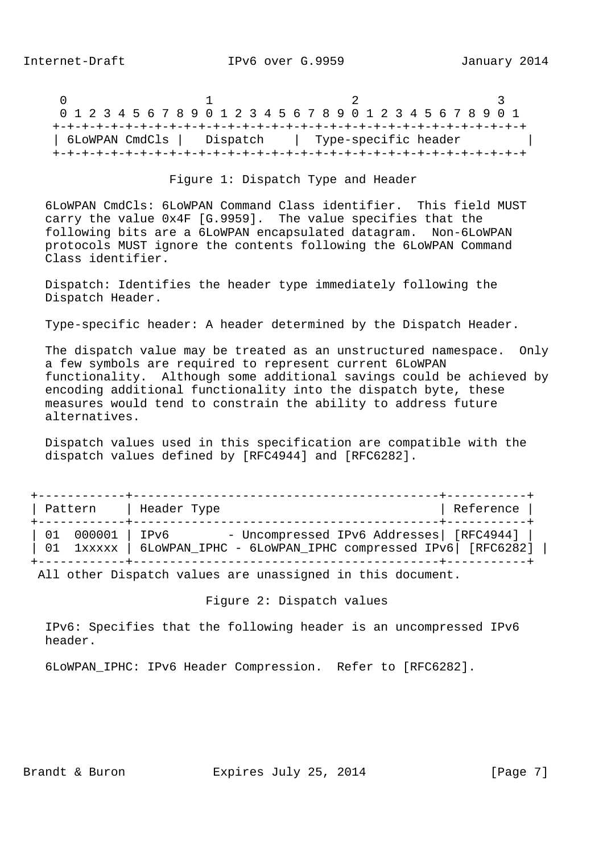0  $1$  2 3 0 1 2 3 4 5 6 7 8 9 0 1 2 3 4 5 6 7 8 9 0 1 2 3 4 5 6 7 8 9 0 1 +-+-+-+-+-+-+-+-+-+-+-+-+-+-+-+-+-+-+-+-+-+-+-+-+-+-+-+-+-+-+-+-+ | 6LoWPAN CmdCls | Dispatch | Type-specific header | +-+-+-+-+-+-+-+-+-+-+-+-+-+-+-+-+-+-+-+-+-+-+-+-+-+-+-+-+-+-+-+-+

#### Figure 1: Dispatch Type and Header

 6LoWPAN CmdCls: 6LoWPAN Command Class identifier. This field MUST carry the value 0x4F [G.9959]. The value specifies that the following bits are a 6LoWPAN encapsulated datagram. Non-6LoWPAN protocols MUST ignore the contents following the 6LoWPAN Command Class identifier.

 Dispatch: Identifies the header type immediately following the Dispatch Header.

Type-specific header: A header determined by the Dispatch Header.

 The dispatch value may be treated as an unstructured namespace. Only a few symbols are required to represent current 6LoWPAN functionality. Although some additional savings could be achieved by encoding additional functionality into the dispatch byte, these measures would tend to constrain the ability to address future alternatives.

 Dispatch values used in this specification are compatible with the dispatch values defined by [RFC4944] and [RFC6282].

| Pattern           | Header Type                                                                                                     | Reference |
|-------------------|-----------------------------------------------------------------------------------------------------------------|-----------|
| 01  000001   IPv6 | - Uncompressed IPv6 Addresses  [RFC4944]<br>01 1xxxxx   6LoWPAN_IPHC - 6LoWPAN_IPHC compressed IPv6   [RFC6282] |           |

All other Dispatch values are unassigned in this document.

Figure 2: Dispatch values

 IPv6: Specifies that the following header is an uncompressed IPv6 header.

6LoWPAN\_IPHC: IPv6 Header Compression. Refer to [RFC6282].

Brandt & Buron **Expires July 25, 2014** [Page 7]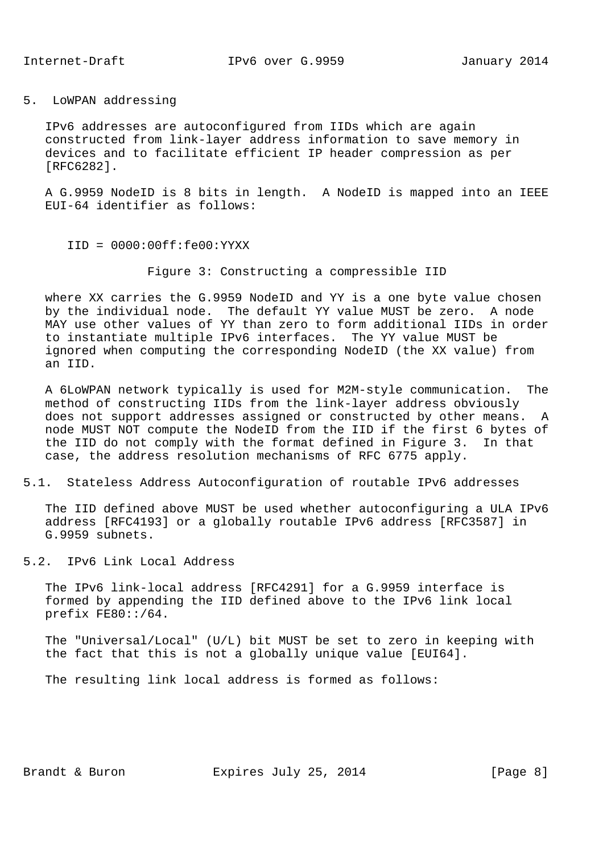5. LoWPAN addressing

 IPv6 addresses are autoconfigured from IIDs which are again constructed from link-layer address information to save memory in devices and to facilitate efficient IP header compression as per [RFC6282].

 A G.9959 NodeID is 8 bits in length. A NodeID is mapped into an IEEE EUI-64 identifier as follows:

- IID = 0000:00ff:fe00:YYXX
	- Figure 3: Constructing a compressible IID

 where XX carries the G.9959 NodeID and YY is a one byte value chosen by the individual node. The default YY value MUST be zero. A node MAY use other values of YY than zero to form additional IIDs in order to instantiate multiple IPv6 interfaces. The YY value MUST be ignored when computing the corresponding NodeID (the XX value) from an IID.

 A 6LoWPAN network typically is used for M2M-style communication. The method of constructing IIDs from the link-layer address obviously does not support addresses assigned or constructed by other means. A node MUST NOT compute the NodeID from the IID if the first 6 bytes of the IID do not comply with the format defined in Figure 3. In that case, the address resolution mechanisms of RFC 6775 apply.

5.1. Stateless Address Autoconfiguration of routable IPv6 addresses

 The IID defined above MUST be used whether autoconfiguring a ULA IPv6 address [RFC4193] or a globally routable IPv6 address [RFC3587] in G.9959 subnets.

5.2. IPv6 Link Local Address

 The IPv6 link-local address [RFC4291] for a G.9959 interface is formed by appending the IID defined above to the IPv6 link local prefix FE80::/64.

 The "Universal/Local" (U/L) bit MUST be set to zero in keeping with the fact that this is not a globally unique value [EUI64].

The resulting link local address is formed as follows:

Brandt & Buron Expires July 25, 2014 [Page 8]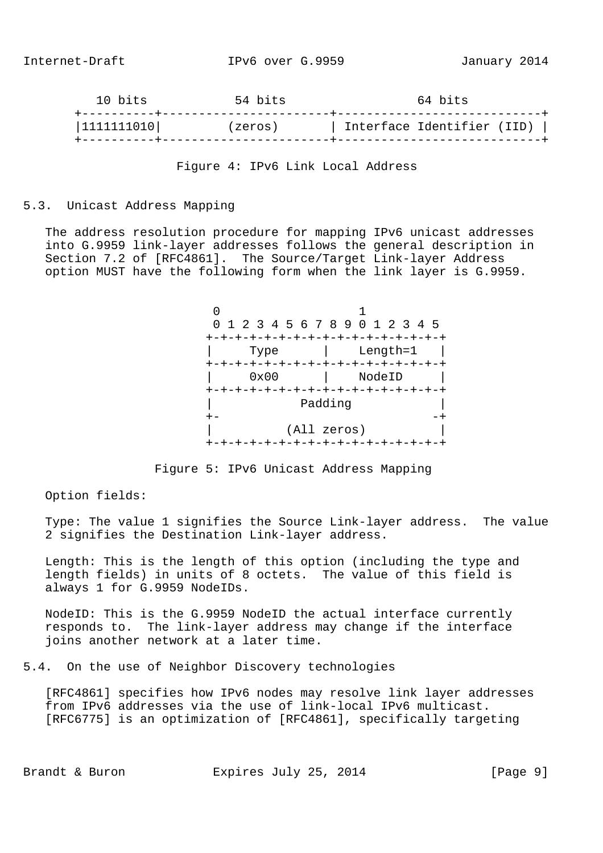| 10 bits<br>----------+-------- | 54 bits | 64 bits                    |  |
|--------------------------------|---------|----------------------------|--|
| 1111111010                     | (zeros) | Interface Identifier (IID) |  |
|                                |         |                            |  |

Figure 4: IPv6 Link Local Address

# 5.3. Unicast Address Mapping

 The address resolution procedure for mapping IPv6 unicast addresses into G.9959 link-layer addresses follows the general description in Section 7.2 of [RFC4861]. The Source/Target Link-layer Address option MUST have the following form when the link layer is G.9959.

 $\sim$  1 0 1 2 3 4 5 6 7 8 9 0 1 2 3 4 5 +-+-+-+-+-+-+-+-+-+-+-+-+-+-+-+-+ | Type | Length=1 | +-+-+-+-+-+-+-+-+-+-+-+-+-+-+-+-+ | 0x00 | NodeID | +-+-+-+-+-+-+-+-+-+-+-+-+-+-+-+-+ | Padding | +- -+ | (All zeros) | +-+-+-+-+-+-+-+-+-+-+-+-+-+-+-+-+

Figure 5: IPv6 Unicast Address Mapping

Option fields:

 Type: The value 1 signifies the Source Link-layer address. The value 2 signifies the Destination Link-layer address.

 Length: This is the length of this option (including the type and length fields) in units of 8 octets. The value of this field is always 1 for G.9959 NodeIDs.

 NodeID: This is the G.9959 NodeID the actual interface currently responds to. The link-layer address may change if the interface joins another network at a later time.

5.4. On the use of Neighbor Discovery technologies

 [RFC4861] specifies how IPv6 nodes may resolve link layer addresses from IPv6 addresses via the use of link-local IPv6 multicast. [RFC6775] is an optimization of [RFC4861], specifically targeting

Brandt & Buron Expires July 25, 2014 [Page 9]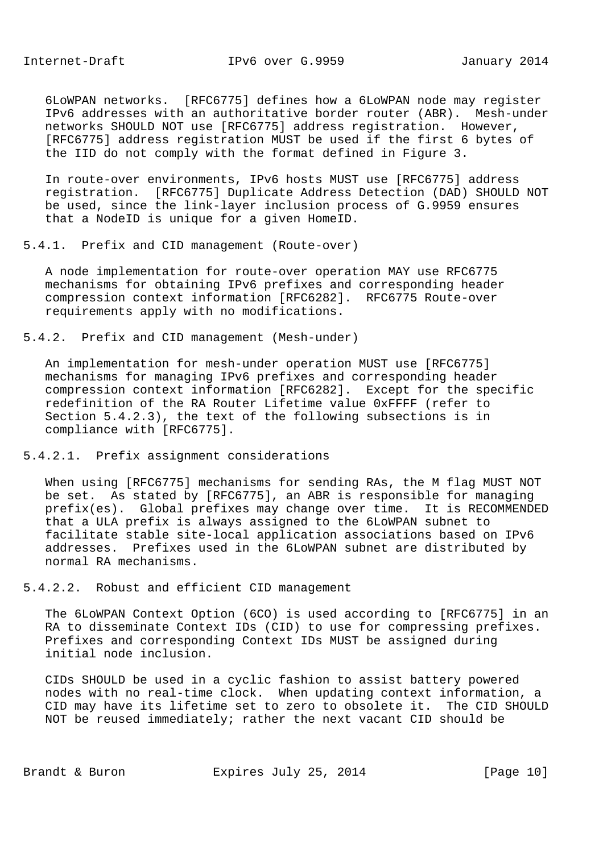Internet-Draft IPv6 over G.9959 January 2014

 6LoWPAN networks. [RFC6775] defines how a 6LoWPAN node may register IPv6 addresses with an authoritative border router (ABR). Mesh-under networks SHOULD NOT use [RFC6775] address registration. However, [RFC6775] address registration MUST be used if the first 6 bytes of the IID do not comply with the format defined in Figure 3.

 In route-over environments, IPv6 hosts MUST use [RFC6775] address registration. [RFC6775] Duplicate Address Detection (DAD) SHOULD NOT be used, since the link-layer inclusion process of G.9959 ensures that a NodeID is unique for a given HomeID.

5.4.1. Prefix and CID management (Route-over)

 A node implementation for route-over operation MAY use RFC6775 mechanisms for obtaining IPv6 prefixes and corresponding header compression context information [RFC6282]. RFC6775 Route-over requirements apply with no modifications.

5.4.2. Prefix and CID management (Mesh-under)

 An implementation for mesh-under operation MUST use [RFC6775] mechanisms for managing IPv6 prefixes and corresponding header compression context information [RFC6282]. Except for the specific redefinition of the RA Router Lifetime value 0xFFFF (refer to Section 5.4.2.3), the text of the following subsections is in compliance with [RFC6775].

5.4.2.1. Prefix assignment considerations

 When using [RFC6775] mechanisms for sending RAs, the M flag MUST NOT be set. As stated by [RFC6775], an ABR is responsible for managing prefix(es). Global prefixes may change over time. It is RECOMMENDED that a ULA prefix is always assigned to the 6LoWPAN subnet to facilitate stable site-local application associations based on IPv6 addresses. Prefixes used in the 6LoWPAN subnet are distributed by normal RA mechanisms.

5.4.2.2. Robust and efficient CID management

 The 6LoWPAN Context Option (6CO) is used according to [RFC6775] in an RA to disseminate Context IDs (CID) to use for compressing prefixes. Prefixes and corresponding Context IDs MUST be assigned during initial node inclusion.

 CIDs SHOULD be used in a cyclic fashion to assist battery powered nodes with no real-time clock. When updating context information, a CID may have its lifetime set to zero to obsolete it. The CID SHOULD NOT be reused immediately; rather the next vacant CID should be

Brandt & Buron Expires July 25, 2014 [Page 10]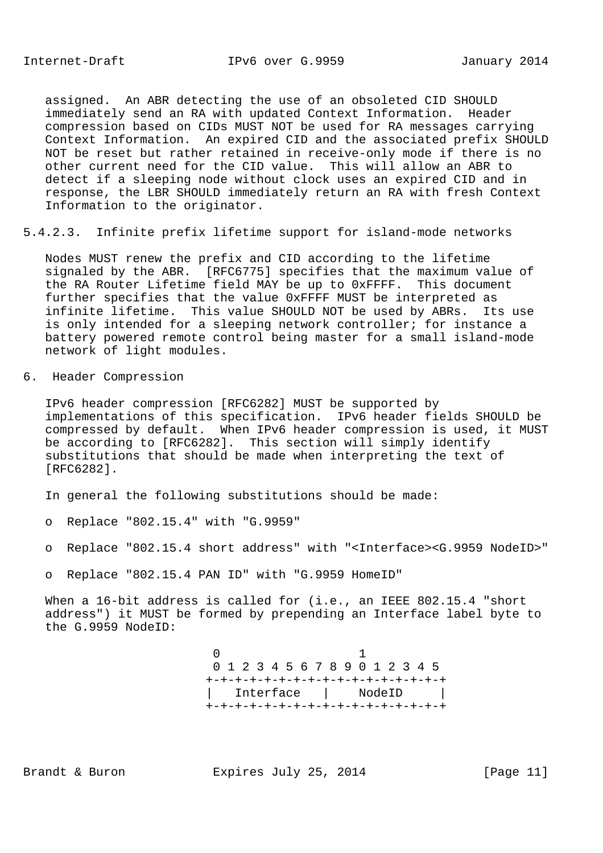assigned. An ABR detecting the use of an obsoleted CID SHOULD immediately send an RA with updated Context Information. Header compression based on CIDs MUST NOT be used for RA messages carrying Context Information. An expired CID and the associated prefix SHOULD NOT be reset but rather retained in receive-only mode if there is no other current need for the CID value. This will allow an ABR to detect if a sleeping node without clock uses an expired CID and in response, the LBR SHOULD immediately return an RA with fresh Context Information to the originator.

5.4.2.3. Infinite prefix lifetime support for island-mode networks

 Nodes MUST renew the prefix and CID according to the lifetime signaled by the ABR. [RFC6775] specifies that the maximum value of the RA Router Lifetime field MAY be up to 0xFFFF. This document further specifies that the value 0xFFFF MUST be interpreted as infinite lifetime. This value SHOULD NOT be used by ABRs. Its use is only intended for a sleeping network controller; for instance a battery powered remote control being master for a small island-mode network of light modules.

6. Header Compression

 IPv6 header compression [RFC6282] MUST be supported by implementations of this specification. IPv6 header fields SHOULD be compressed by default. When IPv6 header compression is used, it MUST be according to [RFC6282]. This section will simply identify substitutions that should be made when interpreting the text of [RFC6282].

In general the following substitutions should be made:

- o Replace "802.15.4" with "G.9959"
- o Replace "802.15.4 short address" with "<Interface><G.9959 NodeID>"
- o Replace "802.15.4 PAN ID" with "G.9959 HomeID"

When a 16-bit address is called for (i.e., an IEEE 802.15.4 "short address") it MUST be formed by prepending an Interface label byte to the G.9959 NodeID:

 $\sim$  1 0 1 2 3 4 5 6 7 8 9 0 1 2 3 4 5 +-+-+-+-+-+-+-+-+-+-+-+-+-+-+-+-+ | Interface | NodeID | +-+-+-+-+-+-+-+-+-+-+-+-+-+-+-+-+

Brandt & Buron Expires July 25, 2014 [Page 11]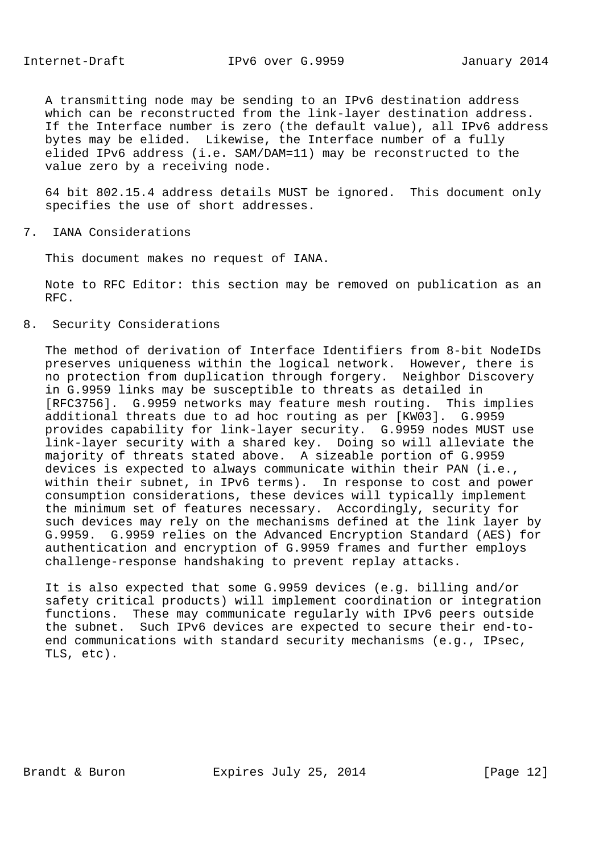A transmitting node may be sending to an IPv6 destination address which can be reconstructed from the link-layer destination address. If the Interface number is zero (the default value), all IPv6 address bytes may be elided. Likewise, the Interface number of a fully elided IPv6 address (i.e. SAM/DAM=11) may be reconstructed to the value zero by a receiving node.

 64 bit 802.15.4 address details MUST be ignored. This document only specifies the use of short addresses.

7. IANA Considerations

This document makes no request of IANA.

 Note to RFC Editor: this section may be removed on publication as an RFC.

8. Security Considerations

 The method of derivation of Interface Identifiers from 8-bit NodeIDs preserves uniqueness within the logical network. However, there is no protection from duplication through forgery. Neighbor Discovery in G.9959 links may be susceptible to threats as detailed in [RFC3756]. G.9959 networks may feature mesh routing. This implies additional threats due to ad hoc routing as per [KW03]. G.9959 provides capability for link-layer security. G.9959 nodes MUST use link-layer security with a shared key. Doing so will alleviate the majority of threats stated above. A sizeable portion of G.9959 devices is expected to always communicate within their PAN (i.e., within their subnet, in IPv6 terms). In response to cost and power consumption considerations, these devices will typically implement the minimum set of features necessary. Accordingly, security for such devices may rely on the mechanisms defined at the link layer by G.9959. G.9959 relies on the Advanced Encryption Standard (AES) for authentication and encryption of G.9959 frames and further employs challenge-response handshaking to prevent replay attacks.

 It is also expected that some G.9959 devices (e.g. billing and/or safety critical products) will implement coordination or integration functions. These may communicate regularly with IPv6 peers outside the subnet. Such IPv6 devices are expected to secure their end-to end communications with standard security mechanisms (e.g., IPsec, TLS, etc).

Brandt & Buron Expires July 25, 2014 [Page 12]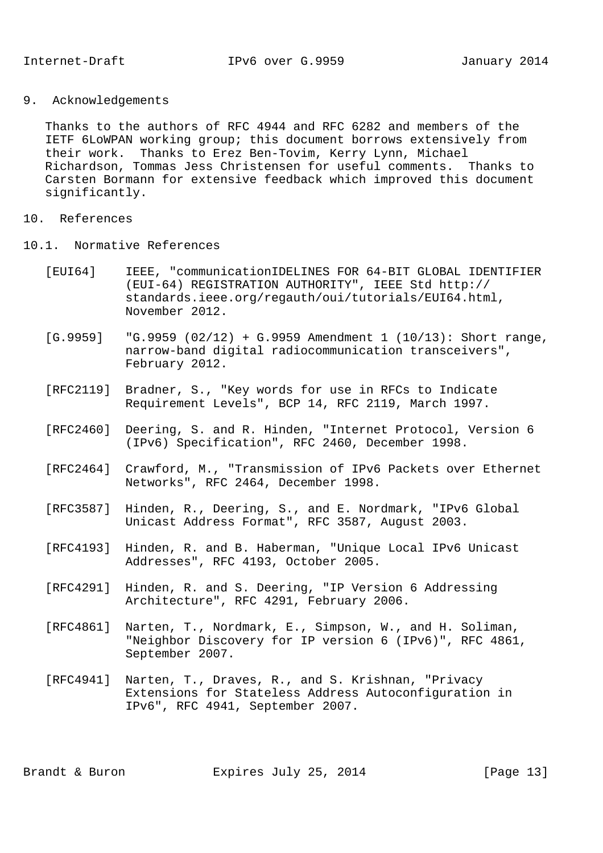9. Acknowledgements

 Thanks to the authors of RFC 4944 and RFC 6282 and members of the IETF 6LoWPAN working group; this document borrows extensively from their work. Thanks to Erez Ben-Tovim, Kerry Lynn, Michael Richardson, Tommas Jess Christensen for useful comments. Thanks to Carsten Bormann for extensive feedback which improved this document significantly.

- 10. References
- 10.1. Normative References
	- [EUI64] IEEE, "communicationIDELINES FOR 64-BIT GLOBAL IDENTIFIER (EUI-64) REGISTRATION AUTHORITY", IEEE Std http:// standards.ieee.org/regauth/oui/tutorials/EUI64.html, November 2012.
	- $[G.9959]$  "G.9959 (02/12) + G.9959 Amendment 1 (10/13): Short range, narrow-band digital radiocommunication transceivers", February 2012.
	- [RFC2119] Bradner, S., "Key words for use in RFCs to Indicate Requirement Levels", BCP 14, RFC 2119, March 1997.
	- [RFC2460] Deering, S. and R. Hinden, "Internet Protocol, Version 6 (IPv6) Specification", RFC 2460, December 1998.
	- [RFC2464] Crawford, M., "Transmission of IPv6 Packets over Ethernet Networks", RFC 2464, December 1998.
	- [RFC3587] Hinden, R., Deering, S., and E. Nordmark, "IPv6 Global Unicast Address Format", RFC 3587, August 2003.
	- [RFC4193] Hinden, R. and B. Haberman, "Unique Local IPv6 Unicast Addresses", RFC 4193, October 2005.
	- [RFC4291] Hinden, R. and S. Deering, "IP Version 6 Addressing Architecture", RFC 4291, February 2006.
	- [RFC4861] Narten, T., Nordmark, E., Simpson, W., and H. Soliman, "Neighbor Discovery for IP version 6 (IPv6)", RFC 4861, September 2007.
	- [RFC4941] Narten, T., Draves, R., and S. Krishnan, "Privacy Extensions for Stateless Address Autoconfiguration in IPv6", RFC 4941, September 2007.

Brandt & Buron Expires July 25, 2014 [Page 13]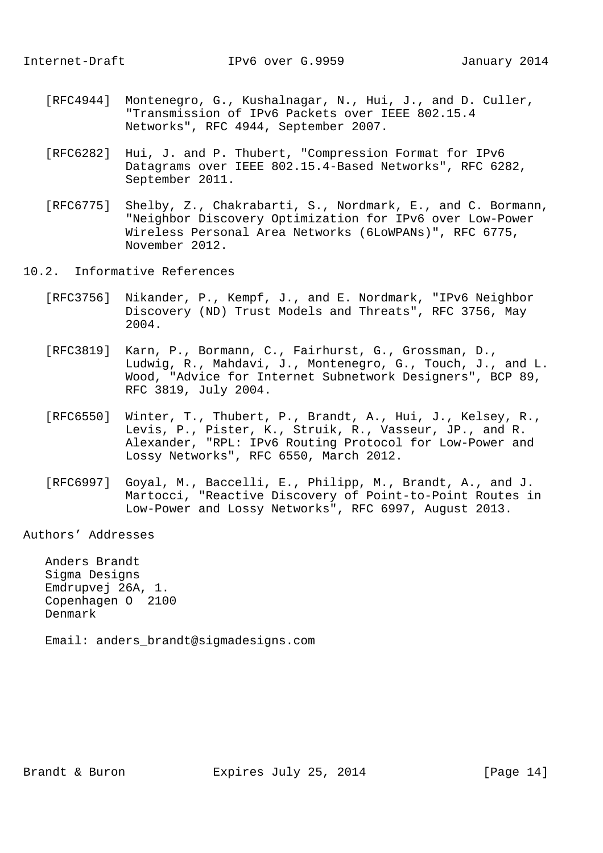- [RFC4944] Montenegro, G., Kushalnagar, N., Hui, J., and D. Culler, "Transmission of IPv6 Packets over IEEE 802.15.4 Networks", RFC 4944, September 2007.
- [RFC6282] Hui, J. and P. Thubert, "Compression Format for IPv6 Datagrams over IEEE 802.15.4-Based Networks", RFC 6282, September 2011.
- [RFC6775] Shelby, Z., Chakrabarti, S., Nordmark, E., and C. Bormann, "Neighbor Discovery Optimization for IPv6 over Low-Power Wireless Personal Area Networks (6LoWPANs)", RFC 6775, November 2012.
- 10.2. Informative References
	- [RFC3756] Nikander, P., Kempf, J., and E. Nordmark, "IPv6 Neighbor Discovery (ND) Trust Models and Threats", RFC 3756, May 2004.
	- [RFC3819] Karn, P., Bormann, C., Fairhurst, G., Grossman, D., Ludwig, R., Mahdavi, J., Montenegro, G., Touch, J., and L. Wood, "Advice for Internet Subnetwork Designers", BCP 89, RFC 3819, July 2004.
	- [RFC6550] Winter, T., Thubert, P., Brandt, A., Hui, J., Kelsey, R., Levis, P., Pister, K., Struik, R., Vasseur, JP., and R. Alexander, "RPL: IPv6 Routing Protocol for Low-Power and Lossy Networks", RFC 6550, March 2012.
	- [RFC6997] Goyal, M., Baccelli, E., Philipp, M., Brandt, A., and J. Martocci, "Reactive Discovery of Point-to-Point Routes in Low-Power and Lossy Networks", RFC 6997, August 2013.

Authors' Addresses

 Anders Brandt Sigma Designs Emdrupvej 26A, 1. Copenhagen O 2100 Denmark

Email: anders\_brandt@sigmadesigns.com

Brandt & Buron **Expires July 25, 2014** [Page 14]